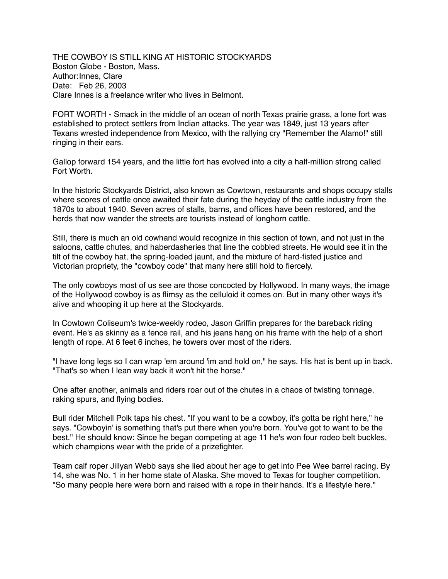THE COWBOY IS STILL KING AT HISTORIC STOCKYARDS Boston Globe - Boston, Mass. Author:Innes, Clare Date: Feb 26, 2003 Clare Innes is a freelance writer who lives in Belmont.

FORT WORTH - Smack in the middle of an ocean of north Texas prairie grass, a lone fort was established to protect settlers from Indian attacks. The year was 1849, just 13 years after Texans wrested independence from Mexico, with the rallying cry "Remember the Alamo!" still ringing in their ears.

Gallop forward 154 years, and the little fort has evolved into a city a half-million strong called Fort Worth.

In the historic Stockyards District, also known as Cowtown, restaurants and shops occupy stalls where scores of cattle once awaited their fate during the heyday of the cattle industry from the 1870s to about 1940. Seven acres of stalls, barns, and offices have been restored, and the herds that now wander the streets are tourists instead of longhorn cattle.

Still, there is much an old cowhand would recognize in this section of town, and not just in the saloons, cattle chutes, and haberdasheries that line the cobbled streets. He would see it in the tilt of the cowboy hat, the spring-loaded jaunt, and the mixture of hard-fisted justice and Victorian propriety, the "cowboy code" that many here still hold to fiercely.

The only cowboys most of us see are those concocted by Hollywood. In many ways, the image of the Hollywood cowboy is as flimsy as the celluloid it comes on. But in many other ways it's alive and whooping it up here at the Stockyards.

In Cowtown Coliseum's twice-weekly rodeo, Jason Griffin prepares for the bareback riding event. He's as skinny as a fence rail, and his jeans hang on his frame with the help of a short length of rope. At 6 feet 6 inches, he towers over most of the riders.

"I have long legs so I can wrap 'em around 'im and hold on," he says. His hat is bent up in back. "That's so when I lean way back it won't hit the horse."

One after another, animals and riders roar out of the chutes in a chaos of twisting tonnage, raking spurs, and flying bodies.

Bull rider Mitchell Polk taps his chest. "If you want to be a cowboy, it's gotta be right here," he says. "Cowboyin' is something that's put there when you're born. You've got to want to be the best." He should know: Since he began competing at age 11 he's won four rodeo belt buckles, which champions wear with the pride of a prizefighter.

Team calf roper Jillyan Webb says she lied about her age to get into Pee Wee barrel racing. By 14, she was No. 1 in her home state of Alaska. She moved to Texas for tougher competition. "So many people here were born and raised with a rope in their hands. It's a lifestyle here."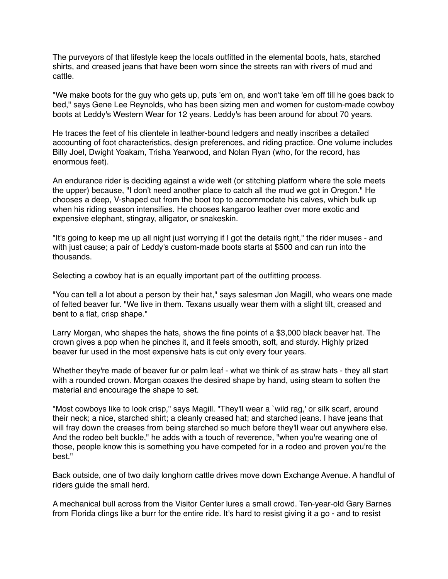The purveyors of that lifestyle keep the locals outfitted in the elemental boots, hats, starched shirts, and creased jeans that have been worn since the streets ran with rivers of mud and cattle.

"We make boots for the guy who gets up, puts 'em on, and won't take 'em off till he goes back to bed," says Gene Lee Reynolds, who has been sizing men and women for custom-made cowboy boots at Leddy's Western Wear for 12 years. Leddy's has been around for about 70 years.

He traces the feet of his clientele in leather-bound ledgers and neatly inscribes a detailed accounting of foot characteristics, design preferences, and riding practice. One volume includes Billy Joel, Dwight Yoakam, Trisha Yearwood, and Nolan Ryan (who, for the record, has enormous feet).

An endurance rider is deciding against a wide welt (or stitching platform where the sole meets the upper) because, "I don't need another place to catch all the mud we got in Oregon." He chooses a deep, V-shaped cut from the boot top to accommodate his calves, which bulk up when his riding season intensifies. He chooses kangaroo leather over more exotic and expensive elephant, stingray, alligator, or snakeskin.

"It's going to keep me up all night just worrying if I got the details right," the rider muses - and with just cause; a pair of Leddy's custom-made boots starts at \$500 and can run into the thousands.

Selecting a cowboy hat is an equally important part of the outfitting process.

"You can tell a lot about a person by their hat," says salesman Jon Magill, who wears one made of felted beaver fur. "We live in them. Texans usually wear them with a slight tilt, creased and bent to a flat, crisp shape."

Larry Morgan, who shapes the hats, shows the fine points of a \$3,000 black beaver hat. The crown gives a pop when he pinches it, and it feels smooth, soft, and sturdy. Highly prized beaver fur used in the most expensive hats is cut only every four years.

Whether they're made of beaver fur or palm leaf - what we think of as straw hats - they all start with a rounded crown. Morgan coaxes the desired shape by hand, using steam to soften the material and encourage the shape to set.

"Most cowboys like to look crisp," says Magill. "They'll wear a `wild rag,' or silk scarf, around their neck; a nice, starched shirt; a cleanly creased hat; and starched jeans. I have jeans that will fray down the creases from being starched so much before they'll wear out anywhere else. And the rodeo belt buckle," he adds with a touch of reverence, "when you're wearing one of those, people know this is something you have competed for in a rodeo and proven you're the hest."

Back outside, one of two daily longhorn cattle drives move down Exchange Avenue. A handful of riders guide the small herd.

A mechanical bull across from the Visitor Center lures a small crowd. Ten-year-old Gary Barnes from Florida clings like a burr for the entire ride. It's hard to resist giving it a go - and to resist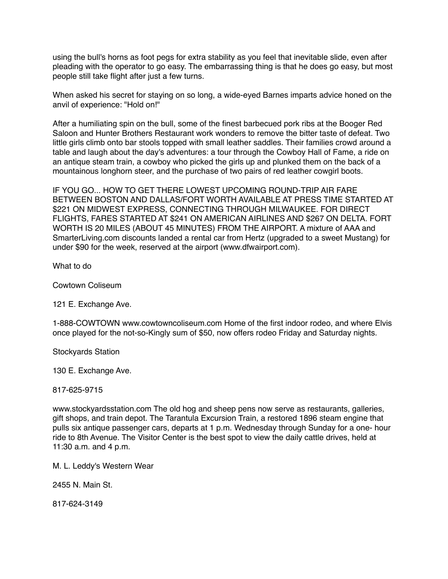using the bull's horns as foot pegs for extra stability as you feel that inevitable slide, even after pleading with the operator to go easy. The embarrassing thing is that he does go easy, but most people still take flight after just a few turns.

When asked his secret for staying on so long, a wide-eyed Barnes imparts advice honed on the anvil of experience: "Hold on!"

After a humiliating spin on the bull, some of the finest barbecued pork ribs at the Booger Red Saloon and Hunter Brothers Restaurant work wonders to remove the bitter taste of defeat. Two little girls climb onto bar stools topped with small leather saddles. Their families crowd around a table and laugh about the day's adventures: a tour through the Cowboy Hall of Fame, a ride on an antique steam train, a cowboy who picked the girls up and plunked them on the back of a mountainous longhorn steer, and the purchase of two pairs of red leather cowgirl boots.

IF YOU GO... HOW TO GET THERE LOWEST UPCOMING ROUND-TRIP AIR FARE BETWEEN BOSTON AND DALLAS/FORT WORTH AVAILABLE AT PRESS TIME STARTED AT \$221 ON MIDWEST EXPRESS, CONNECTING THROUGH MILWAUKEE. FOR DIRECT FLIGHTS, FARES STARTED AT \$241 ON AMERICAN AIRLINES AND \$267 ON DELTA. FORT WORTH IS 20 MILES (ABOUT 45 MINUTES) FROM THE AIRPORT. A mixture of AAA and SmarterLiving.com discounts landed a rental car from Hertz (upgraded to a sweet Mustang) for under \$90 for the week, reserved at the airport (www.dfwairport.com).

What to do

Cowtown Coliseum

121 E. Exchange Ave.

1-888-COWTOWN www.cowtowncoliseum.com Home of the first indoor rodeo, and where Elvis once played for the not-so-Kingly sum of \$50, now offers rodeo Friday and Saturday nights.

Stockyards Station

130 E. Exchange Ave.

817-625-9715

www.stockyardsstation.com The old hog and sheep pens now serve as restaurants, galleries, gift shops, and train depot. The Tarantula Excursion Train, a restored 1896 steam engine that pulls six antique passenger cars, departs at 1 p.m. Wednesday through Sunday for a one- hour ride to 8th Avenue. The Visitor Center is the best spot to view the daily cattle drives, held at 11:30 a.m. and 4 p.m.

M. L. Leddy's Western Wear

2455 N. Main St.

817-624-3149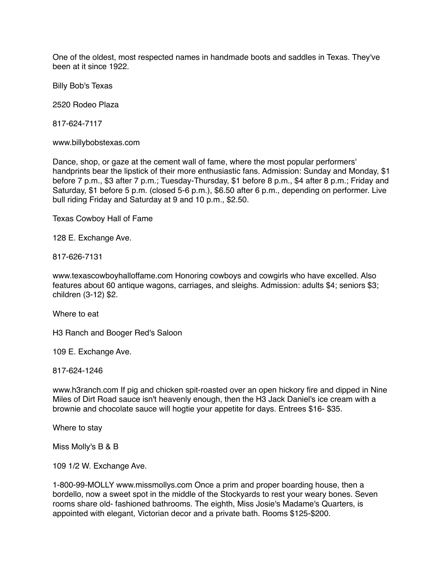One of the oldest, most respected names in handmade boots and saddles in Texas. They've been at it since 1922.

Billy Bob's Texas

2520 Rodeo Plaza

817-624-7117

www.billybobstexas.com

Dance, shop, or gaze at the cement wall of fame, where the most popular performers' handprints bear the lipstick of their more enthusiastic fans. Admission: Sunday and Monday, \$1 before 7 p.m., \$3 after 7 p.m.; Tuesday-Thursday, \$1 before 8 p.m., \$4 after 8 p.m.; Friday and Saturday, \$1 before 5 p.m. (closed 5-6 p.m.), \$6.50 after 6 p.m., depending on performer. Live bull riding Friday and Saturday at 9 and 10 p.m., \$2.50.

Texas Cowboy Hall of Fame

128 E. Exchange Ave.

817-626-7131

www.texascowboyhalloffame.com Honoring cowboys and cowgirls who have excelled. Also features about 60 antique wagons, carriages, and sleighs. Admission: adults \$4; seniors \$3; children (3-12) \$2.

Where to eat

H3 Ranch and Booger Red's Saloon

109 E. Exchange Ave.

817-624-1246

www.h3ranch.com If pig and chicken spit-roasted over an open hickory fire and dipped in Nine Miles of Dirt Road sauce isn't heavenly enough, then the H3 Jack Daniel's ice cream with a brownie and chocolate sauce will hogtie your appetite for days. Entrees \$16- \$35.

Where to stay

Miss Molly's B & B

109 1/2 W. Exchange Ave.

1-800-99-MOLLY www.missmollys.com Once a prim and proper boarding house, then a bordello, now a sweet spot in the middle of the Stockyards to rest your weary bones. Seven rooms share old- fashioned bathrooms. The eighth, Miss Josie's Madame's Quarters, is appointed with elegant, Victorian decor and a private bath. Rooms \$125-\$200.